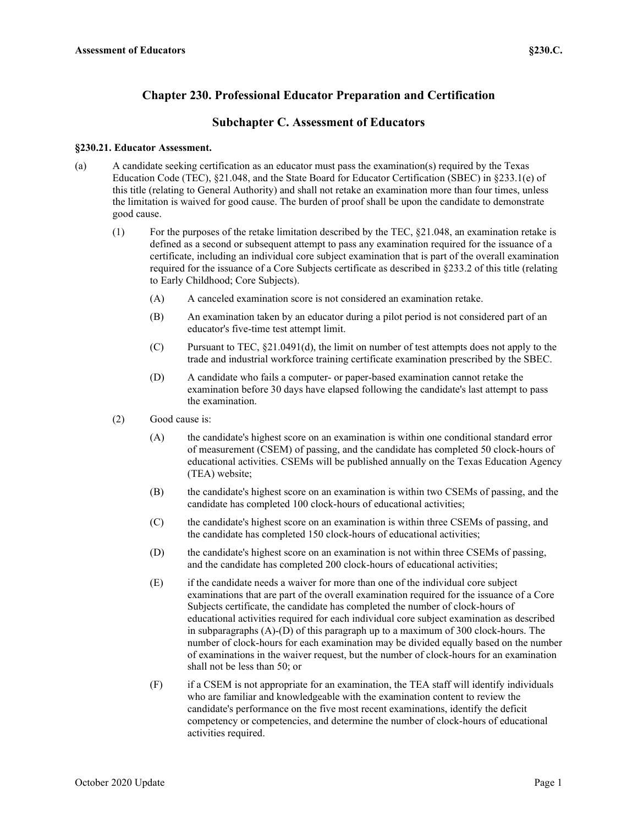# **Chapter 230. Professional Educator Preparation and Certification**

## **Subchapter C. Assessment of Educators**

### **§230.21. Educator Assessment.**

- (a) A candidate seeking certification as an educator must pass the examination(s) required by the Texas Education Code (TEC), §21.048, and the State Board for Educator Certification (SBEC) in §233.1(e) of this title (relating to General Authority) and shall not retake an examination more than four times, unless the limitation is waived for good cause. The burden of proof shall be upon the candidate to demonstrate good cause.
	- (1) For the purposes of the retake limitation described by the TEC, §21.048, an examination retake is defined as a second or subsequent attempt to pass any examination required for the issuance of a certificate, including an individual core subject examination that is part of the overall examination required for the issuance of a Core Subjects certificate as described in §233.2 of this title (relating to Early Childhood; Core Subjects).
		- (A) A canceled examination score is not considered an examination retake.
		- (B) An examination taken by an educator during a pilot period is not considered part of an educator's five-time test attempt limit.
		- (C) Pursuant to TEC, §21.0491(d), the limit on number of test attempts does not apply to the trade and industrial workforce training certificate examination prescribed by the SBEC.
		- (D) A candidate who fails a computer- or paper-based examination cannot retake the examination before 30 days have elapsed following the candidate's last attempt to pass the examination.
	- (2) Good cause is:
		- (A) the candidate's highest score on an examination is within one conditional standard error of measurement (CSEM) of passing, and the candidate has completed 50 clock-hours of educational activities. CSEMs will be published annually on the Texas Education Agency (TEA) website;
		- (B) the candidate's highest score on an examination is within two CSEMs of passing, and the candidate has completed 100 clock-hours of educational activities;
		- (C) the candidate's highest score on an examination is within three CSEMs of passing, and the candidate has completed 150 clock-hours of educational activities;
		- (D) the candidate's highest score on an examination is not within three CSEMs of passing, and the candidate has completed 200 clock-hours of educational activities;
		- (E) if the candidate needs a waiver for more than one of the individual core subject examinations that are part of the overall examination required for the issuance of a Core Subjects certificate, the candidate has completed the number of clock-hours of educational activities required for each individual core subject examination as described in subparagraphs (A)-(D) of this paragraph up to a maximum of 300 clock-hours. The number of clock-hours for each examination may be divided equally based on the number of examinations in the waiver request, but the number of clock-hours for an examination shall not be less than 50; or
		- (F) if a CSEM is not appropriate for an examination, the TEA staff will identify individuals who are familiar and knowledgeable with the examination content to review the candidate's performance on the five most recent examinations, identify the deficit competency or competencies, and determine the number of clock-hours of educational activities required.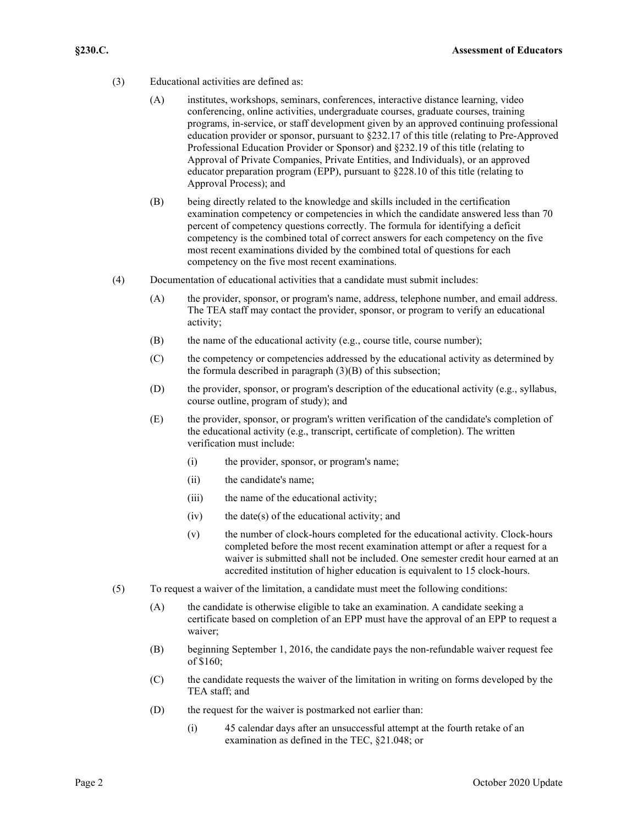- (3) Educational activities are defined as:
	- (A) institutes, workshops, seminars, conferences, interactive distance learning, video conferencing, online activities, undergraduate courses, graduate courses, training programs, in-service, or staff development given by an approved continuing professional education provider or sponsor, pursuant to §232.17 of this title (relating to Pre-Approved Professional Education Provider or Sponsor) and §232.19 of this title (relating to Approval of Private Companies, Private Entities, and Individuals), or an approved educator preparation program (EPP), pursuant to §228.10 of this title (relating to Approval Process); and
	- (B) being directly related to the knowledge and skills included in the certification examination competency or competencies in which the candidate answered less than 70 percent of competency questions correctly. The formula for identifying a deficit competency is the combined total of correct answers for each competency on the five most recent examinations divided by the combined total of questions for each competency on the five most recent examinations.
- (4) Documentation of educational activities that a candidate must submit includes:
	- (A) the provider, sponsor, or program's name, address, telephone number, and email address. The TEA staff may contact the provider, sponsor, or program to verify an educational activity;
	- (B) the name of the educational activity (e.g., course title, course number);
	- (C) the competency or competencies addressed by the educational activity as determined by the formula described in paragraph  $(3)(B)$  of this subsection;
	- (D) the provider, sponsor, or program's description of the educational activity (e.g., syllabus, course outline, program of study); and
	- (E) the provider, sponsor, or program's written verification of the candidate's completion of the educational activity (e.g., transcript, certificate of completion). The written verification must include:
		- (i) the provider, sponsor, or program's name;
		- (ii) the candidate's name;
		- (iii) the name of the educational activity;
		- $(iv)$  the date(s) of the educational activity; and
		- (v) the number of clock-hours completed for the educational activity. Clock-hours completed before the most recent examination attempt or after a request for a waiver is submitted shall not be included. One semester credit hour earned at an accredited institution of higher education is equivalent to 15 clock-hours.
- (5) To request a waiver of the limitation, a candidate must meet the following conditions:
	- (A) the candidate is otherwise eligible to take an examination. A candidate seeking a certificate based on completion of an EPP must have the approval of an EPP to request a waiver;
	- (B) beginning September 1, 2016, the candidate pays the non-refundable waiver request fee of \$160;
	- (C) the candidate requests the waiver of the limitation in writing on forms developed by the TEA staff; and
	- (D) the request for the waiver is postmarked not earlier than:
		- (i) 45 calendar days after an unsuccessful attempt at the fourth retake of an examination as defined in the TEC, §21.048; or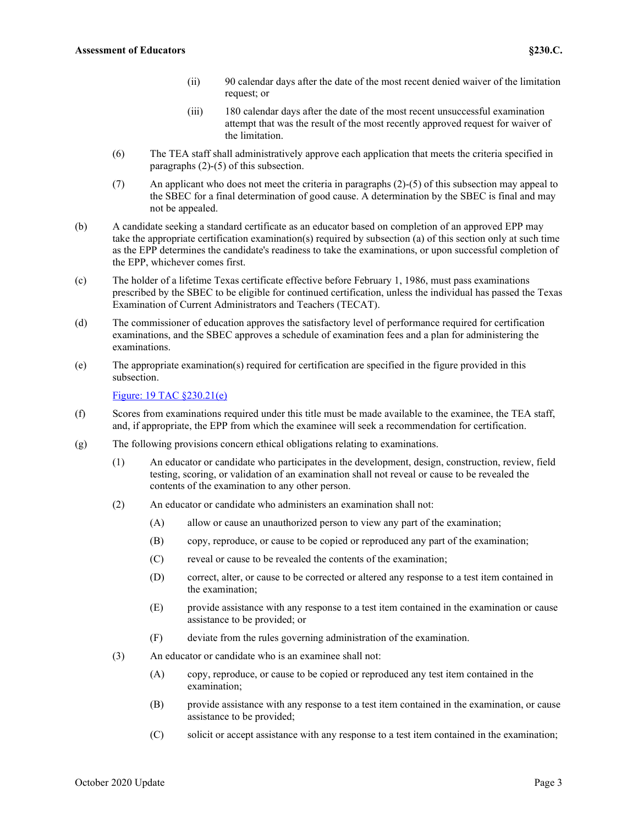- (ii) 90 calendar days after the date of the most recent denied waiver of the limitation request; or
- (iii) 180 calendar days after the date of the most recent unsuccessful examination attempt that was the result of the most recently approved request for waiver of the limitation.
- (6) The TEA staff shall administratively approve each application that meets the criteria specified in paragraphs (2)-(5) of this subsection.
- (7) An applicant who does not meet the criteria in paragraphs (2)-(5) of this subsection may appeal to the SBEC for a final determination of good cause. A determination by the SBEC is final and may not be appealed.
- (b) A candidate seeking a standard certificate as an educator based on completion of an approved EPP may take the appropriate certification examination(s) required by subsection (a) of this section only at such time as the EPP determines the candidate's readiness to take the examinations, or upon successful completion of the EPP, whichever comes first.
- (c) The holder of a lifetime Texas certificate effective before February 1, 1986, must pass examinations prescribed by the SBEC to be eligible for continued certification, unless the individual has passed the Texas Examination of Current Administrators and Teachers (TECAT).
- (d) The commissioner of education approves the satisfactory level of performance required for certification examinations, and the SBEC approves a schedule of examination fees and a plan for administering the examinations.
- (e) The appropriate examination(s) required for certification are specified in the figure provided in this subsection.

[Figure: 19 TAC §230.21\(e\)](https://tea.texas.gov/sites/default/files/19_0230_0021-1.pdf)

- (f) Scores from examinations required under this title must be made available to the examinee, the TEA staff, and, if appropriate, the EPP from which the examinee will seek a recommendation for certification.
- (g) The following provisions concern ethical obligations relating to examinations.
	- (1) An educator or candidate who participates in the development, design, construction, review, field testing, scoring, or validation of an examination shall not reveal or cause to be revealed the contents of the examination to any other person.
	- (2) An educator or candidate who administers an examination shall not:
		- (A) allow or cause an unauthorized person to view any part of the examination;
		- (B) copy, reproduce, or cause to be copied or reproduced any part of the examination;
		- (C) reveal or cause to be revealed the contents of the examination;
		- (D) correct, alter, or cause to be corrected or altered any response to a test item contained in the examination;
		- (E) provide assistance with any response to a test item contained in the examination or cause assistance to be provided; or
		- (F) deviate from the rules governing administration of the examination.
	- (3) An educator or candidate who is an examinee shall not:
		- (A) copy, reproduce, or cause to be copied or reproduced any test item contained in the examination;
		- (B) provide assistance with any response to a test item contained in the examination, or cause assistance to be provided;
		- (C) solicit or accept assistance with any response to a test item contained in the examination;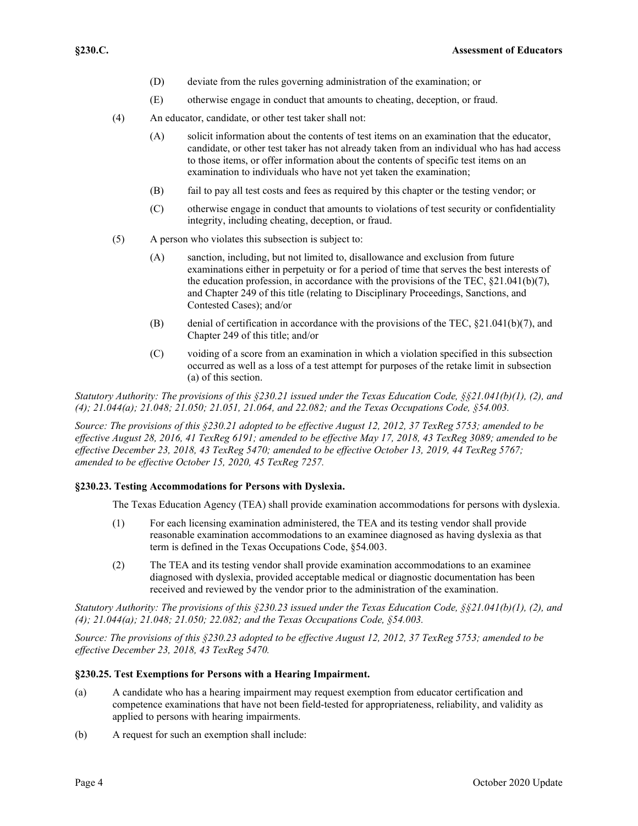- (D) deviate from the rules governing administration of the examination; or
- (E) otherwise engage in conduct that amounts to cheating, deception, or fraud.
- (4) An educator, candidate, or other test taker shall not:
	- (A) solicit information about the contents of test items on an examination that the educator, candidate, or other test taker has not already taken from an individual who has had access to those items, or offer information about the contents of specific test items on an examination to individuals who have not yet taken the examination;
	- (B) fail to pay all test costs and fees as required by this chapter or the testing vendor; or
	- (C) otherwise engage in conduct that amounts to violations of test security or confidentiality integrity, including cheating, deception, or fraud.
- (5) A person who violates this subsection is subject to:
	- (A) sanction, including, but not limited to, disallowance and exclusion from future examinations either in perpetuity or for a period of time that serves the best interests of the education profession, in accordance with the provisions of the TEC, §21.041(b)(7), and Chapter 249 of this title (relating to Disciplinary Proceedings, Sanctions, and Contested Cases); and/or
	- (B) denial of certification in accordance with the provisions of the TEC,  $\S21.041(b)(7)$ , and Chapter 249 of this title; and/or
	- (C) voiding of a score from an examination in which a violation specified in this subsection occurred as well as a loss of a test attempt for purposes of the retake limit in subsection (a) of this section.

*Statutory Authority: The provisions of this §230.21 issued under the Texas Education Code, §§21.041(b)(1), (2), and (4); 21.044(a); 21.048; 21.050; 21.051, 21.064, and 22.082; and the Texas Occupations Code, §54.003.*

*Source: The provisions of this §230.21 adopted to be effective August 12, 2012, 37 TexReg 5753; amended to be effective August 28, 2016, 41 TexReg 6191; amended to be effective May 17, 2018, 43 TexReg 3089; amended to be effective December 23, 2018, 43 TexReg 5470; amended to be effective October 13, 2019, 44 TexReg 5767; amended to be effective October 15, 2020, 45 TexReg 7257.*

## **§230.23. Testing Accommodations for Persons with Dyslexia.**

The Texas Education Agency (TEA) shall provide examination accommodations for persons with dyslexia.

- (1) For each licensing examination administered, the TEA and its testing vendor shall provide reasonable examination accommodations to an examinee diagnosed as having dyslexia as that term is defined in the Texas Occupations Code, §54.003.
- (2) The TEA and its testing vendor shall provide examination accommodations to an examinee diagnosed with dyslexia, provided acceptable medical or diagnostic documentation has been received and reviewed by the vendor prior to the administration of the examination.

*Statutory Authority: The provisions of this §230.23 issued under the Texas Education Code, §§21.041(b)(1), (2), and (4); 21.044(a); 21.048; 21.050; 22.082; and the Texas Occupations Code, §54.003.*

*Source: The provisions of this §230.23 adopted to be effective August 12, 2012, 37 TexReg 5753; amended to be effective December 23, 2018, 43 TexReg 5470.*

#### **§230.25. Test Exemptions for Persons with a Hearing Impairment.**

- (a) A candidate who has a hearing impairment may request exemption from educator certification and competence examinations that have not been field-tested for appropriateness, reliability, and validity as applied to persons with hearing impairments.
- (b) A request for such an exemption shall include: